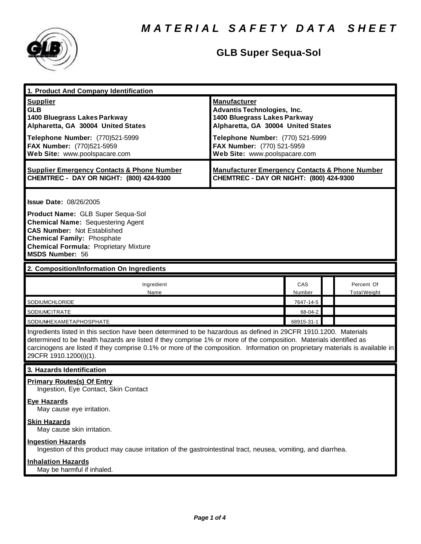

## **GLB Super Sequa-Sol**

| 1. Product And Company Identification                                                                                                                                                                                                                                                                                                                                                             |                                                                                                                                                                                                                                    |               |                                   |  |
|---------------------------------------------------------------------------------------------------------------------------------------------------------------------------------------------------------------------------------------------------------------------------------------------------------------------------------------------------------------------------------------------------|------------------------------------------------------------------------------------------------------------------------------------------------------------------------------------------------------------------------------------|---------------|-----------------------------------|--|
| <b>Supplier</b><br><b>GLB</b><br>1400 Bluegrass Lakes Parkway<br>Alpharetta, GA 30004 United States<br>Telephone Number: (770)521-5999<br>FAX Number: (770)521-5959<br>Web Site: www.poolspacare.com                                                                                                                                                                                              | <b>Manufacturer</b><br><b>Advantis Technologies, Inc.</b><br>1400 Bluegrass Lakes Parkway<br>Alpharetta, GA 30004 United States<br>Telephone Number: (770) 521-5999<br>FAX Number: (770) 521-5959<br>Web Site: www.poolspacare.com |               |                                   |  |
| <b>Supplier Emergency Contacts &amp; Phone Number</b><br>CHEMTREC - DAY OR NIGHT: (800) 424-9300                                                                                                                                                                                                                                                                                                  | <b>Manufacturer Emergency Contacts &amp; Phone Number</b><br>CHEMTREC - DAY OR NIGHT: (800) 424-9300                                                                                                                               |               |                                   |  |
| <b>Issue Date: 08/26/2005</b><br>Product Name: GLB Super Sequa-Sol<br><b>Chemical Name: Sequestering Agent</b><br><b>CAS Number: Not Established</b><br><b>Chemical Family: Phosphate</b><br><b>Chemical Formula: Proprietary Mixture</b><br><b>MSDS Number: 56</b>                                                                                                                               |                                                                                                                                                                                                                                    |               |                                   |  |
| 2. Composition/Information On Ingredients                                                                                                                                                                                                                                                                                                                                                         |                                                                                                                                                                                                                                    |               |                                   |  |
| Ingredient<br>Name                                                                                                                                                                                                                                                                                                                                                                                |                                                                                                                                                                                                                                    | CAS<br>Number | Percent Of<br><b>Total Weight</b> |  |
| SODIUMCHLORIDE                                                                                                                                                                                                                                                                                                                                                                                    |                                                                                                                                                                                                                                    | 7647-14-5     |                                   |  |
| SODIUMCITRATE                                                                                                                                                                                                                                                                                                                                                                                     |                                                                                                                                                                                                                                    | 68-04-2       |                                   |  |
| SODIUMHEXAMETAPHOSPHATE                                                                                                                                                                                                                                                                                                                                                                           |                                                                                                                                                                                                                                    | 68915-31-1    |                                   |  |
| Ingredients listed in this section have been determined to be hazardous as defined in 29CFR 1910.1200. Materials<br>determined to be health hazards are listed if they comprise 1% or more of the composition. Materials identified as<br>carcinogens are listed if they comprise 0.1% or more of the composition. Information on proprietary materials is available in<br>29CFR 1910.1200(i)(1). |                                                                                                                                                                                                                                    |               |                                   |  |
| 3. Hazards Identification                                                                                                                                                                                                                                                                                                                                                                         |                                                                                                                                                                                                                                    |               |                                   |  |
| <b>Primary Routes(s) Of Entry</b><br>Ingestion, Eye Contact, Skin Contact                                                                                                                                                                                                                                                                                                                         |                                                                                                                                                                                                                                    |               |                                   |  |
| <b>Eye Hazards</b><br>May cause eye irritation.                                                                                                                                                                                                                                                                                                                                                   |                                                                                                                                                                                                                                    |               |                                   |  |
| <b>Skin Hazards</b><br>May cause skin irritation.                                                                                                                                                                                                                                                                                                                                                 |                                                                                                                                                                                                                                    |               |                                   |  |
| <b>Ingestion Hazards</b><br>Ingestion of this product may cause irritation of the gastrointestinal tract, neusea, vomiting, and diarrhea.                                                                                                                                                                                                                                                         |                                                                                                                                                                                                                                    |               |                                   |  |
| <b>Inhalation Hazards</b><br>May be harmful if inhaled.                                                                                                                                                                                                                                                                                                                                           |                                                                                                                                                                                                                                    |               |                                   |  |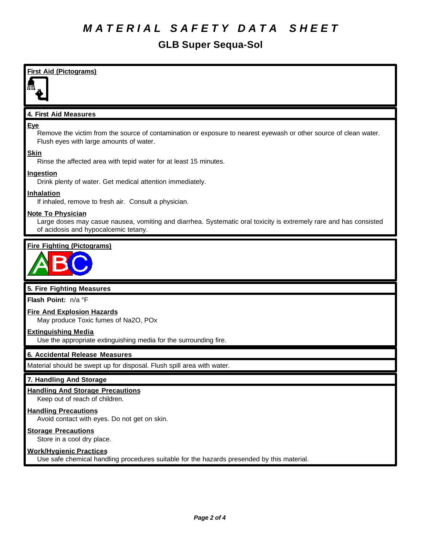# *M A T E R I A L S A F E T Y D A T A S H E E T*

### **GLB Super Sequa-Sol**

**First Aid (Pictograms) 4. First Aid Measures Eye** Remove the victim from the source of contamination or exposure to nearest eyewash or other source of clean water. Flush eyes with large amounts of water. **Skin** Rinse the affected area with tepid water for at least 15 minutes. **Ingestion** Drink plenty of water. Get medical attention immediately. **Inhalation** If inhaled, remove to fresh air. Consult a physician. **Note To Physician** Large doses may casue nausea, vomiting and diarrhea. Systematic oral toxicity is extremely rare and has consisted of acidosis and hypocalcemic tetany. **Fire Fighting (Pictograms)**

**5. Fire Fighting Measures**

**Flash Point:** n/a °F

### **Fire And Explosion Hazards**

May produce Toxic fumes of Na2O, POx

#### **Extinguishing Media**

Use the appropriate extinguishing media for the surrounding fire.

#### **6. Accidental Release Measures**

Material should be swept up for disposal. Flush spill area with water.

#### **7. Handling And Storage**

#### **Handling And Storage Precautions**

Keep out of reach of children.

#### **Handling Precautions**

Avoid contact with eyes. Do not get on skin.

#### **Storage Precautions**

Store in a cool dry place.

### **Work/Hygienic Practices**

Use safe chemical handling procedures suitable for the hazards presended by this material.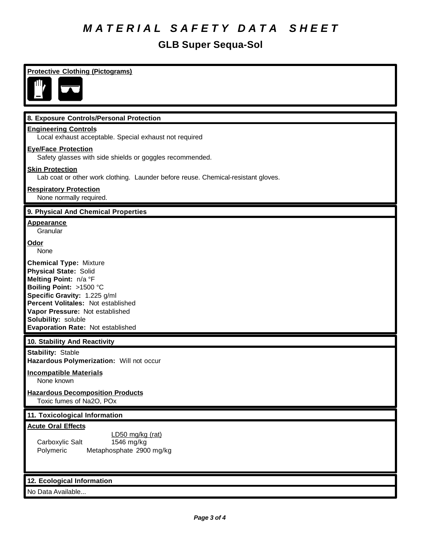# *M A T E R I A L S A F E T Y D A T A S H E E T*

## **GLB Super Sequa-Sol**

| <b>Protective Clothing (Pictograms)</b>                                                                                                                                                                                                                                                |
|----------------------------------------------------------------------------------------------------------------------------------------------------------------------------------------------------------------------------------------------------------------------------------------|
|                                                                                                                                                                                                                                                                                        |
|                                                                                                                                                                                                                                                                                        |
| 8. Exposure Controls/Personal Protection                                                                                                                                                                                                                                               |
| <b>Engineering Controls</b><br>Local exhaust acceptable. Special exhaust not required                                                                                                                                                                                                  |
| <b>Eye/Face Protection</b><br>Safety glasses with side shields or goggles recommended.                                                                                                                                                                                                 |
| <b>Skin Protection</b><br>Lab coat or other work clothing. Launder before reuse. Chemical-resistant gloves.                                                                                                                                                                            |
| <b>Respiratory Protection</b><br>None normally required.                                                                                                                                                                                                                               |
| 9. Physical And Chemical Properties                                                                                                                                                                                                                                                    |
| <b>Appearance</b><br>Granular                                                                                                                                                                                                                                                          |
| Odor<br>None                                                                                                                                                                                                                                                                           |
| <b>Chemical Type: Mixture</b><br><b>Physical State: Solid</b><br>Melting Point: n/a °F<br>Boiling Point: >1500 °C<br>Specific Gravity: 1.225 g/ml<br>Percent Volitales: Not established<br>Vapor Pressure: Not established<br>Solubility: soluble<br>Evaporation Rate: Not established |
| 10. Stability And Reactivity                                                                                                                                                                                                                                                           |
| <b>Stability: Stable</b><br>Hazardous Polymerization: Will not occur                                                                                                                                                                                                                   |
| <b>Incompatible Materials</b><br>None known                                                                                                                                                                                                                                            |
| <b>Hazardous Decomposition Products</b><br>Toxic fumes of Na2O, POx                                                                                                                                                                                                                    |
| 11. Toxicological Information                                                                                                                                                                                                                                                          |
| <b>Acute Oral Effects</b><br>LD50 mg/kg (rat)<br>Carboxylic Salt<br>1546 mg/kg<br>Polymeric<br>Metaphosphate 2900 mg/kg                                                                                                                                                                |
| 12. Ecological Information                                                                                                                                                                                                                                                             |
| No Data Available                                                                                                                                                                                                                                                                      |
|                                                                                                                                                                                                                                                                                        |